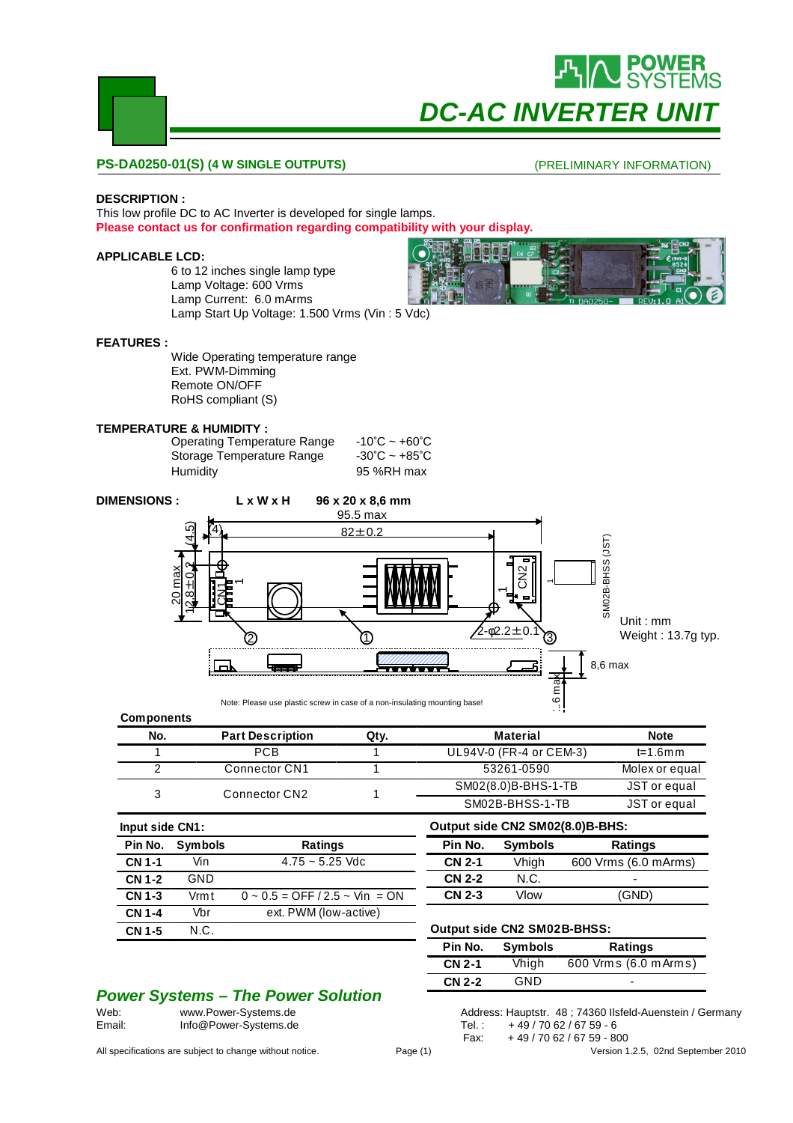

## **PS-DA0250-01(S) (4 W SINGLE OUTPUTS)**

## (PRELIMINARY INFORMATION)

## **DESCRIPTION :**

This low profile DC to AC Inverter is developed for single lamps. **Please contact us for confirmation regarding compatibility with your display.**

## **APPLICABLE LCD:**

6 to 12 inches single lamp type Lamp Voltage: 600 Vrms Lamp Current: 6.0 mArms Lamp Start Up Voltage: 1.500 Vrms (Vin : 5 Vdc)

## **FEATURES :**

Wide Operating temperature range Ext. PWM-Dimming Remote ON/OFF RoHS compliant (S)

## **TEMPERATURE & HUMIDITY :**

| Operating Temperature Range | $-10^{\circ}$ C ~ +60 $^{\circ}$ C |
|-----------------------------|------------------------------------|
| Storage Temperature Range   | $-30^{\circ}$ C ~ +85 $^{\circ}$ C |
| Humidity                    | 95 %RH max                         |



#### **Components**

| No. | <b>Part Description</b> | Qty. | Material                | <b>Note</b>    |
|-----|-------------------------|------|-------------------------|----------------|
|     | <b>PCB</b>              |      | UL94V-0 (FR-4 or CEM-3) | t=1.6mm        |
|     | Connector CN1           |      | 53261-0590              | Molex or equal |
|     | Connector CN2           |      | SM02(8.0)B-BHS-1-TB     | JST or equal   |
|     |                         |      | SM02B-BHSS-1-TB         | JST or equal   |

| Input side CN1: |                |                                         |
|-----------------|----------------|-----------------------------------------|
| Pin No.         | <b>Symbols</b> | Ratings                                 |
| <b>CN 1-1</b>   | Vin            | $4.75 \approx 5.25$ Vdc                 |
| CN 1-2          | GND            |                                         |
| CN 1-3          | Vrmt           | $0 \sim 0.5 =$ OFF $/2.5 \sim$ Vin = ON |
| CN 1-4          | Vbr            | ext. PWM (low-active)                   |
| <b>CN 1-5</b>   | N.C.           |                                         |
|                 |                |                                         |

## **Output side CN2 SM02B-BHSS:**

**Output side CN2 SM02(8.0)B-BHS: Pin No. Symbols Ratings**

**CN 2-2** N.C. - **CN 2-3** Vlow (GND)

| Pin No.       | <b>Symbols</b> | <b>Ratings</b>        |  |  |  |  |
|---------------|----------------|-----------------------|--|--|--|--|
| <b>CN 2-1</b> | Vhigh          | 600 Vrms (6.0 m Arms) |  |  |  |  |
| <b>CN 2-2</b> | GND            | -                     |  |  |  |  |

**CN 2-1** Vhigh 600 Vrms (6.0 mArms)

# **Power Systems – The Power Solution**<br>Web: www.Power-Systems.de

All specifications are subject to change without notice. Page (1) Page (1) Version 1.2.5, 02nd September 2010

Address: Hauptstr. 48 ; 74360 Ilsfeld-Auenstein / Germany Email: Info@Power-Systems.de Tel.: +49/70 62/67 59 - 6 Fax: + 49 / 70 62 / 67 59 - 800